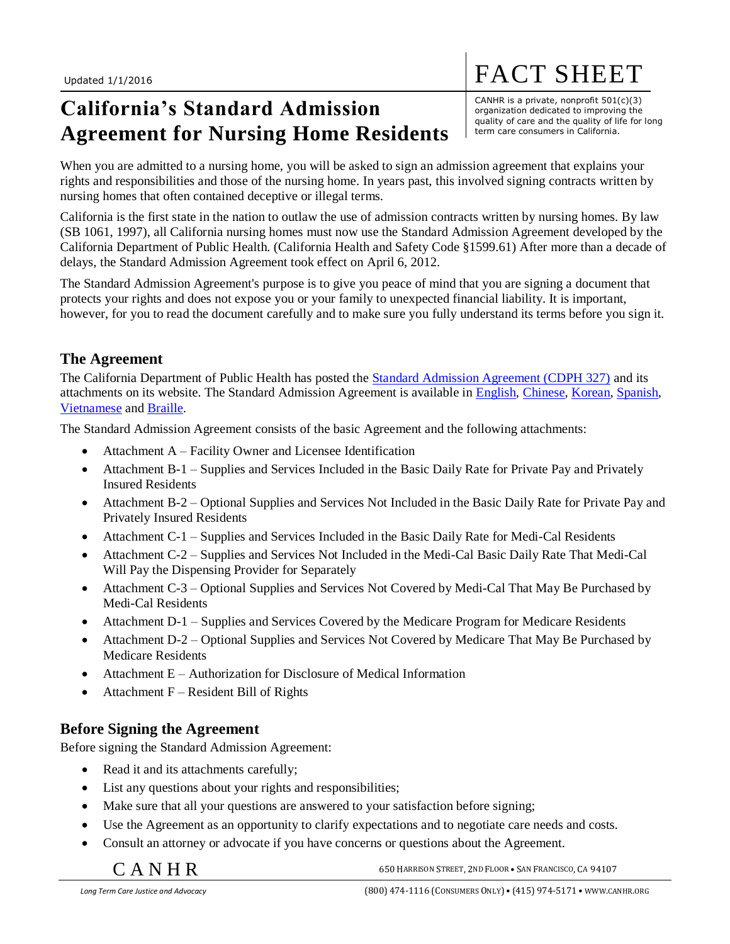# **California's Standard Admission Agreement for Nursing Home Residents**

CANHR is a private, nonprofit 501(c)(3) organization dedicated to improving the quality of care and the quality of life for long term care consumers in California.

FACT SHEET

When you are admitted to a nursing home, you will be asked to sign an admission agreement that explains your rights and responsibilities and those of the nursing home. In years past, this involved signing contracts written by nursing homes that often contained deceptive or illegal terms.

California is the first state in the nation to outlaw the use of admission contracts written by nursing homes. By law (SB 1061, 1997), all California nursing homes must now use the Standard Admission Agreement developed by the California Department of Public Health. (California Health and Safety Code §1599.61) After more than a decade of delays, the Standard Admission Agreement took effect on April 6, 2012.

The Standard Admission Agreement's purpose is to give you peace of mind that you are signing a document that protects your rights and does not expose you or your family to unexpected financial liability. It is important, however, for you to read the document carefully and to make sure you fully understand its terms before you sign it.

## **The Agreement**

The California Department of Public Health has posted the [Standard Admission Agreement \(CDPH 327\)](https://archive.cdph.ca.gov/pubsforms/forms/Pages/LicensingandCertificationForms.aspx) and its attachments on its website. The Standard Admission Agreement is available in [English,](https://archive.cdph.ca.gov/pubsforms/forms/CtrldForms/cdph327completepackage.pdf) [Chinese,](https://archive.cdph.ca.gov/pubsforms/forms/CtrldForms/cdph327Chinese.pdf) [Korean,](https://archive.cdph.ca.gov/pubsforms/forms/CtrldForms/cdph327Korean.pdf) [Spanish,](https://archive.cdph.ca.gov/pubsforms/forms/CtrldForms/cdph327Spanish.pdf) [Vietnamese](https://archive.cdph.ca.gov/pubsforms/forms/CtrldForms/cdph327Vietnamese.pdf) an[d Braille.](https://archive.cdph.ca.gov/pubsforms/forms/CtrldForms/cdph327Braille.brf)

The Standard Admission Agreement consists of the basic Agreement and the following attachments:

- Attachment A Facility Owner and Licensee Identification
- Attachment B-1 Supplies and Services Included in the Basic Daily Rate for Private Pay and Privately Insured Residents
- Attachment B-2 Optional Supplies and Services Not Included in the Basic Daily Rate for Private Pay and Privately Insured Residents
- Attachment C-1 Supplies and Services Included in the Basic Daily Rate for Medi-Cal Residents
- Attachment C-2 Supplies and Services Not Included in the Medi-Cal Basic Daily Rate That Medi-Cal Will Pay the Dispensing Provider for Separately
- Attachment C-3 Optional Supplies and Services Not Covered by Medi-Cal That May Be Purchased by Medi-Cal Residents
- Attachment D-1 Supplies and Services Covered by the Medicare Program for Medicare Residents
- Attachment D-2 Optional Supplies and Services Not Covered by Medicare That May Be Purchased by Medicare Residents
- Attachment E Authorization for Disclosure of Medical Information
- Attachment F Resident Bill of Rights

### **Before Signing the Agreement**

Before signing the Standard Admission Agreement:

- Read it and its attachments carefully;
- List any questions about your rights and responsibilities;
- Make sure that all your questions are answered to your satisfaction before signing;
- Use the Agreement as an opportunity to clarify expectations and to negotiate care needs and costs.
- Consult an attorney or advocate if you have concerns or questions about the Agreement.

 $\rm C~A~N~H~R$  650 HARRISON STREET, 2ND FLOOR • SAN FRANCISCO, CA 94107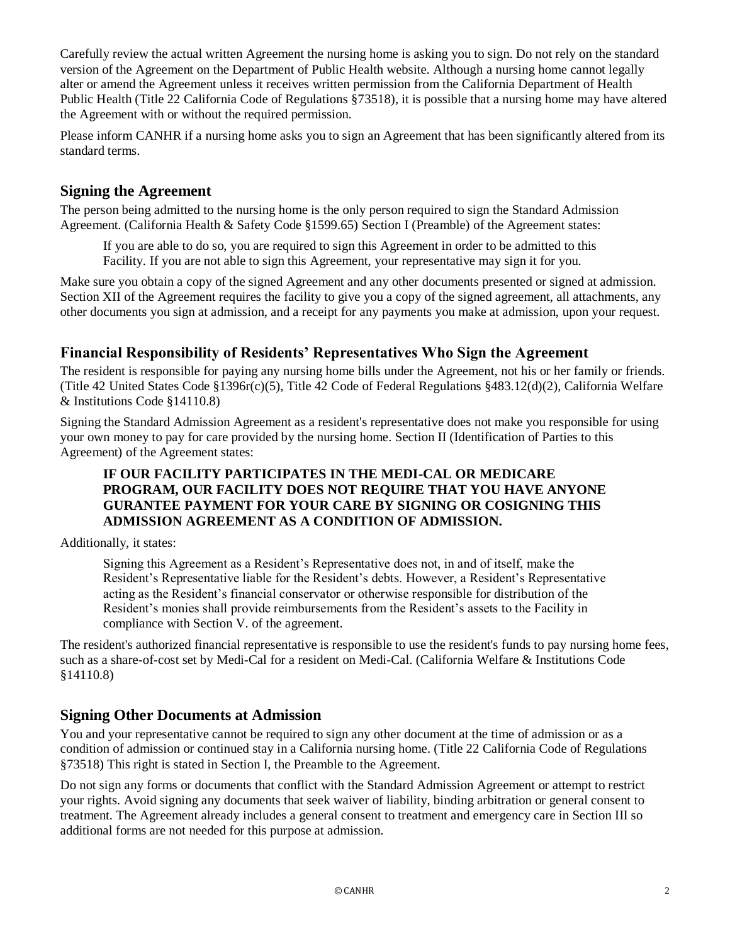Carefully review the actual written Agreement the nursing home is asking you to sign. Do not rely on the standard version of the Agreement on the Department of Public Health website. Although a nursing home cannot legally alter or amend the Agreement unless it receives written permission from the California Department of Health Public Health (Title 22 California Code of Regulations §73518), it is possible that a nursing home may have altered the Agreement with or without the required permission.

Please inform CANHR if a nursing home asks you to sign an Agreement that has been significantly altered from its standard terms.

### **Signing the Agreement**

The person being admitted to the nursing home is the only person required to sign the Standard Admission Agreement. (California Health & Safety Code §1599.65) Section I (Preamble) of the Agreement states:

If you are able to do so, you are required to sign this Agreement in order to be admitted to this Facility. If you are not able to sign this Agreement, your representative may sign it for you.

Make sure you obtain a copy of the signed Agreement and any other documents presented or signed at admission. Section XII of the Agreement requires the facility to give you a copy of the signed agreement, all attachments, any other documents you sign at admission, and a receipt for any payments you make at admission, upon your request.

### **Financial Responsibility of Residents' Representatives Who Sign the Agreement**

The resident is responsible for paying any nursing home bills under the Agreement, not his or her family or friends. (Title 42 United States Code §1396r(c)(5), Title 42 Code of Federal Regulations §483.12(d)(2), California Welfare & Institutions Code §14110.8)

Signing the Standard Admission Agreement as a resident's representative does not make you responsible for using your own money to pay for care provided by the nursing home. Section II (Identification of Parties to this Agreement) of the Agreement states:

#### **IF OUR FACILITY PARTICIPATES IN THE MEDI-CAL OR MEDICARE PROGRAM, OUR FACILITY DOES NOT REQUIRE THAT YOU HAVE ANYONE GURANTEE PAYMENT FOR YOUR CARE BY SIGNING OR COSIGNING THIS ADMISSION AGREEMENT AS A CONDITION OF ADMISSION.**

Additionally, it states:

Signing this Agreement as a Resident's Representative does not, in and of itself, make the Resident's Representative liable for the Resident's debts. However, a Resident's Representative acting as the Resident's financial conservator or otherwise responsible for distribution of the Resident's monies shall provide reimbursements from the Resident's assets to the Facility in compliance with Section V. of the agreement.

The resident's authorized financial representative is responsible to use the resident's funds to pay nursing home fees, such as a share-of-cost set by Medi-Cal for a resident on Medi-Cal. (California Welfare & Institutions Code §14110.8)

### **Signing Other Documents at Admission**

You and your representative cannot be required to sign any other document at the time of admission or as a condition of admission or continued stay in a California nursing home. (Title 22 California Code of Regulations §73518) This right is stated in Section I, the Preamble to the Agreement.

Do not sign any forms or documents that conflict with the Standard Admission Agreement or attempt to restrict your rights. Avoid signing any documents that seek waiver of liability, binding arbitration or general consent to treatment. The Agreement already includes a general consent to treatment and emergency care in Section III so additional forms are not needed for this purpose at admission.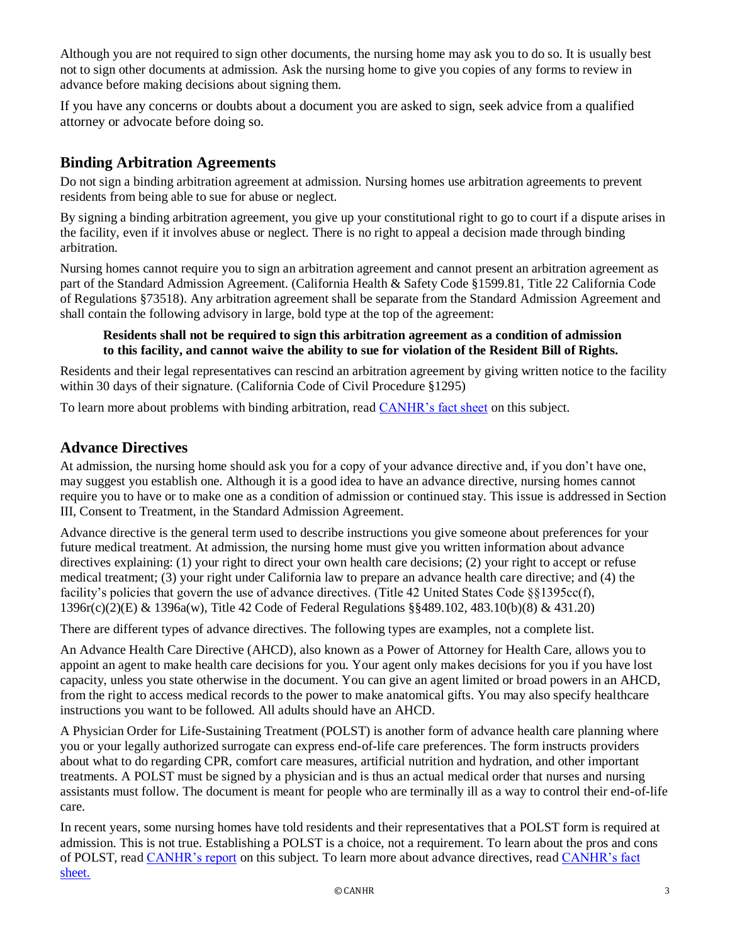Although you are not required to sign other documents, the nursing home may ask you to do so. It is usually best not to sign other documents at admission. Ask the nursing home to give you copies of any forms to review in advance before making decisions about signing them.

If you have any concerns or doubts about a document you are asked to sign, seek advice from a qualified attorney or advocate before doing so.

### **Binding Arbitration Agreements**

Do not sign a binding arbitration agreement at admission. Nursing homes use arbitration agreements to prevent residents from being able to sue for abuse or neglect.

By signing a binding arbitration agreement, you give up your constitutional right to go to court if a dispute arises in the facility, even if it involves abuse or neglect. There is no right to appeal a decision made through binding arbitration.

Nursing homes cannot require you to sign an arbitration agreement and cannot present an arbitration agreement as part of the Standard Admission Agreement. (California Health & Safety Code §1599.81, Title 22 California Code of Regulations §73518). Any arbitration agreement shall be separate from the Standard Admission Agreement and shall contain the following advisory in large, bold type at the top of the agreement:

#### **Residents shall not be required to sign this arbitration agreement as a condition of admission to this facility, and cannot waive the ability to sue for violation of the Resident Bill of Rights.**

Residents and their legal representatives can rescind an arbitration agreement by giving written notice to the facility within 30 days of their signature. (California Code of Civil Procedure §1295)

To learn more about problems with binding arbitration, read [CANHR's fact sheet](http://www.canhr.org/factsheets/nh_fs/PDFs/FS_ArbitrationAgrmnt.pdf) on this subject.

#### **Advance Directives**

At admission, the nursing home should ask you for a copy of your advance directive and, if you don't have one, may suggest you establish one. Although it is a good idea to have an advance directive, nursing homes cannot require you to have or to make one as a condition of admission or continued stay. This issue is addressed in Section III, Consent to Treatment, in the Standard Admission Agreement.

Advance directive is the general term used to describe instructions you give someone about preferences for your future medical treatment. At admission, the nursing home must give you written information about advance directives explaining: (1) your right to direct your own health care decisions; (2) your right to accept or refuse medical treatment; (3) your right under California law to prepare an advance health care directive; and (4) the facility's policies that govern the use of advance directives. (Title 42 United States Code §§1395cc(f), 1396r(c)(2)(E) & 1396a(w), Title 42 Code of Federal Regulations §§489.102, 483.10(b)(8) & 431.20)

There are different types of advance directives. The following types are examples, not a complete list.

An Advance Health Care Directive (AHCD), also known as a Power of Attorney for Health Care, allows you to appoint an agent to make health care decisions for you. Your agent only makes decisions for you if you have lost capacity, unless you state otherwise in the document. You can give an agent limited or broad powers in an AHCD, from the right to access medical records to the power to make anatomical gifts. You may also specify healthcare instructions you want to be followed. All adults should have an AHCD.

A Physician Order for Life-Sustaining Treatment (POLST) is another form of advance health care planning where you or your legally authorized surrogate can express end-of-life care preferences. The form instructs providers about what to do regarding CPR, comfort care measures, artificial nutrition and hydration, and other important treatments. A POLST must be signed by a physician and is thus an actual medical order that nurses and nursing assistants must follow. The document is meant for people who are terminally ill as a way to control their end-of-life care.

In recent years, some nursing homes have told residents and their representatives that a POLST form is required at admission. This is not true. Establishing a POLST is a choice, not a requirement. To learn about the pros and cons of POLST, read [CANHR's report](http://www.canhr.org/reports/2010/POLST_WhitePaper.pdf) on this subject. To learn more about advance directives, read [CANHR's fact](http://canhr.org/factsheets/legal_fs/html/fs_DPAforHealthCare.htm)  [sheet.](http://canhr.org/factsheets/legal_fs/html/fs_DPAforHealthCare.htm)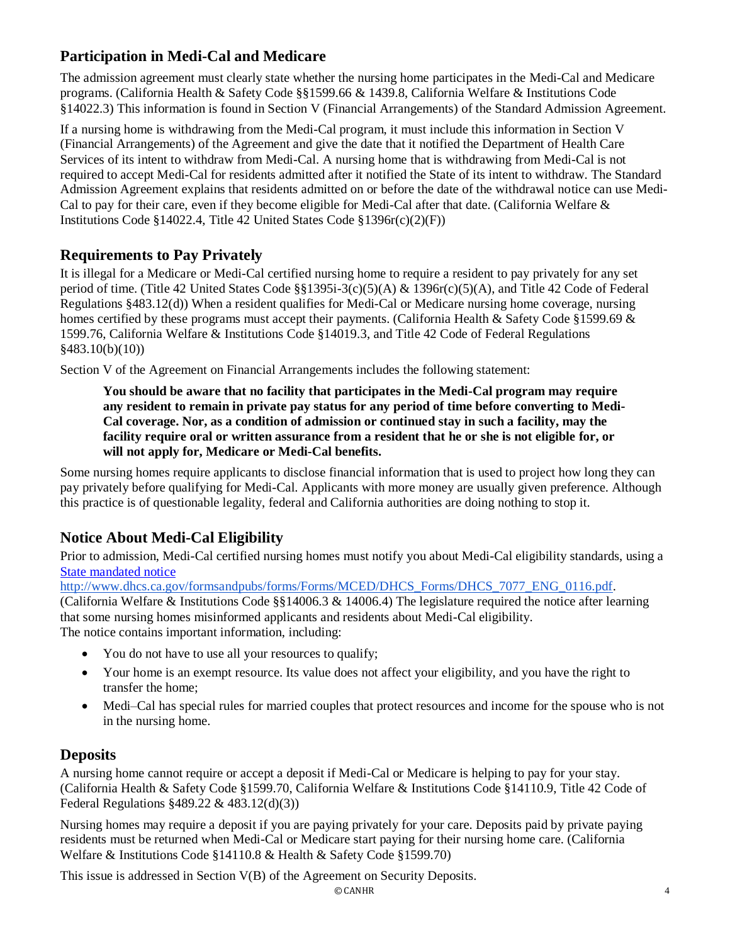# **Participation in Medi-Cal and Medicare**

The admission agreement must clearly state whether the nursing home participates in the Medi-Cal and Medicare programs. (California Health & Safety Code §§1599.66 & 1439.8, California Welfare & Institutions Code §14022.3) This information is found in Section V (Financial Arrangements) of the Standard Admission Agreement.

If a nursing home is withdrawing from the Medi-Cal program, it must include this information in Section V (Financial Arrangements) of the Agreement and give the date that it notified the Department of Health Care Services of its intent to withdraw from Medi-Cal. A nursing home that is withdrawing from Medi-Cal is not required to accept Medi-Cal for residents admitted after it notified the State of its intent to withdraw. The Standard Admission Agreement explains that residents admitted on or before the date of the withdrawal notice can use Medi-Cal to pay for their care, even if they become eligible for Medi-Cal after that date. (California Welfare & Institutions Code §14022.4, Title 42 United States Code §1396r(c)(2)(F))

## **Requirements to Pay Privately**

It is illegal for a Medicare or Medi-Cal certified nursing home to require a resident to pay privately for any set period of time. (Title 42 United States Code §§1395i-3(c)(5)(A) & 1396r(c)(5)(A), and Title 42 Code of Federal Regulations §483.12(d)) When a resident qualifies for Medi-Cal or Medicare nursing home coverage, nursing homes certified by these programs must accept their payments. (California Health & Safety Code §1599.69 & 1599.76, California Welfare & Institutions Code §14019.3, and Title 42 Code of Federal Regulations §483.10(b)(10))

Section V of the Agreement on Financial Arrangements includes the following statement:

**You should be aware that no facility that participates in the Medi-Cal program may require any resident to remain in private pay status for any period of time before converting to Medi-Cal coverage. Nor, as a condition of admission or continued stay in such a facility, may the facility require oral or written assurance from a resident that he or she is not eligible for, or will not apply for, Medicare or Medi-Cal benefits.**

Some nursing homes require applicants to disclose financial information that is used to project how long they can pay privately before qualifying for Medi-Cal. Applicants with more money are usually given preference. Although this practice is of questionable legality, federal and California authorities are doing nothing to stop it.

# **Notice About Medi-Cal Eligibility**

Prior to admission, Medi-Cal certified nursing homes must notify you about Medi-Cal eligibility standards, using a [State mandated notice](http://www.dhcs.ca.gov/formsandpubs/forms/Forms/MCED/DHCS_Forms/DHCS_7077_ENG_0116.pdf)

[http://www.dhcs.ca.gov/formsandpubs/forms/Forms/MCED/DHCS\\_Forms/DHCS\\_7077\\_ENG\\_0116.pdf.](http://www.dhcs.ca.gov/formsandpubs/forms/Forms/MCED/DHCS_Forms/DHCS_7077_ENG_0116.pdf)

(California Welfare & Institutions Code §§14006.3 & 14006.4) The legislature required the notice after learning that some nursing homes misinformed applicants and residents about Medi-Cal eligibility. The notice contains important information, including:

- You do not have to use all your resources to qualify;
- Your home is an exempt resource. Its value does not affect your eligibility, and you have the right to transfer the home;
- Medi–Cal has special rules for married couples that protect resources and income for the spouse who is not in the nursing home.

### **Deposits**

A nursing home cannot require or accept a deposit if Medi-Cal or Medicare is helping to pay for your stay. (California Health & Safety Code §1599.70, California Welfare & Institutions Code §14110.9, Title 42 Code of Federal Regulations §489.22 & 483.12(d)(3))

Nursing homes may require a deposit if you are paying privately for your care. Deposits paid by private paying residents must be returned when Medi-Cal or Medicare start paying for their nursing home care. (California Welfare & Institutions Code §14110.8 & Health & Safety Code §1599.70)

This issue is addressed in Section V(B) of the Agreement on Security Deposits.